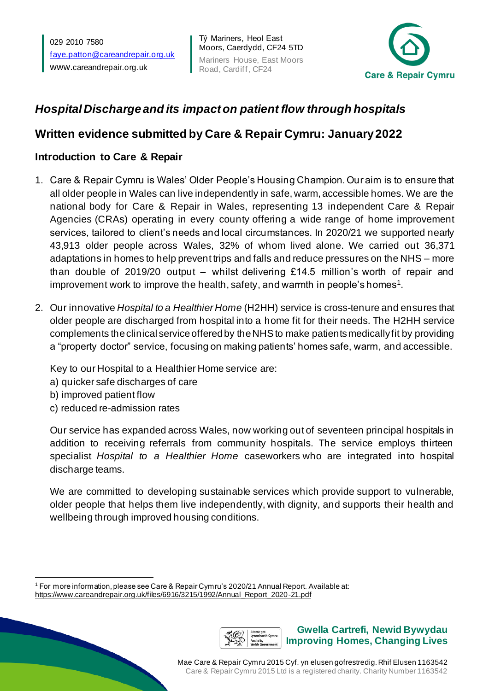029 2010 7580 [faye.patton@careandrepair.org.uk](mailto:faye.patton@careandrepair.org.uk) www.[careandrepair.org.uk](http://www.careandrepair.org.uk/)

Tŷ Mariners, Heol East Moors, Caerdydd, CF24 5TD Mariners House, East Moors Road, Cardiff, CF24



# *Hospital Discharge and its impact on patient flow through hospitals*

## **Written evidence submitted by Care & Repair Cymru: January2022**

## **Introduction to Care & Repair**

- 1. Care & Repair Cymru is Wales' Older People's Housing Champion. Our aim is to ensure that all older people in Wales can live independently in safe, warm, accessible homes. We are the national body for Care & Repair in Wales, representing 13 independent Care & Repair Agencies (CRAs) operating in every county offering a wide range of home improvement services, tailored to client's needs and local circumstances. In 2020/21 we supported nearly 43,913 older people across Wales, 32% of whom lived alone. We carried out 36,371 adaptations in homes to help prevent trips and falls and reduce pressures on the NHS – more than double of 2019/20 output – whilst delivering £14.5 million's worth of repair and improvement work to improve the health, safety, and warmth in people's homes $^{\rm 1}.$
- 2. Our innovative *Hospital to a Healthier Home* (H2HH) service is cross-tenure and ensures that older people are discharged from hospital into a home fit for their needs. The H2HH service complements the clinical service offered by the NHS to make patients medically fit by providing a "property doctor" service, focusing on making patients' homes safe, warm, and accessible.

Key to our Hospital to a Healthier Home service are:

- a) quicker safe discharges of care
- b) improved patient flow
- c) reduced re-admission rates

Our service has expanded across Wales, now working out of seventeen principal hospitals in addition to receiving referrals from community hospitals. The service employs thirteen specialist *Hospital to a Healthier Home* caseworkers who are integrated into hospital discharge teams.

We are committed to developing sustainable services which provide support to vulnerable, older people that helps them live independently, with dignity, and supports their health and wellbeing through improved housing conditions.

<sup>1</sup> For more information, please see Care & Repair Cymru's 2020/21 Annual Report. Available at: [https://www.careandrepair.org.uk/files/6916/3215/1992/Annual\\_Report\\_2020-21.pdf](https://www.careandrepair.org.uk/files/6916/3215/1992/Annual_Report_2020-21.pdf)

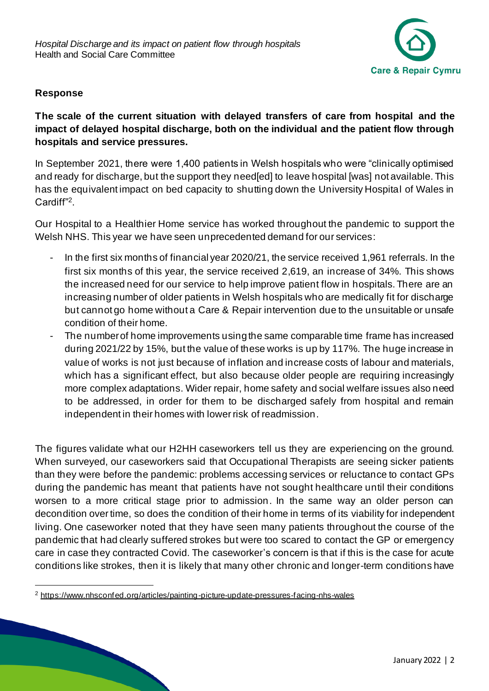

#### **Response**

**The scale of the current situation with delayed transfers of care from hospital and the impact of delayed hospital discharge, both on the individual and the patient flow through hospitals and service pressures.**

In September 2021, there were 1,400 patients in Welsh hospitals who were "clinically optimised and ready for discharge, but the support they need[ed] to leave hospital [was] not available. This has the equivalent impact on bed capacity to shutting down the University Hospital of Wales in Cardiff"<sup>2</sup>.

Our Hospital to a Healthier Home service has worked throughout the pandemic to support the Welsh NHS. This year we have seen unprecedented demand for our services:

- In the first six months of financial year 2020/21, the service received 1,961 referrals. In the first six months of this year, the service received 2,619, an increase of 34%. This shows the increased need for our service to help improve patient flow in hospitals. There are an increasing number of older patients in Welsh hospitals who are medically fit for discharge but cannot go home without a Care & Repair intervention due to the unsuitable or unsafe condition of their home.
- The number of home improvements using the same comparable time frame has increased during 2021/22 by 15%, but the value of these works is up by 117%. The huge increase in value of works is not just because of inflation and increase costs of labour and materials, which has a significant effect, but also because older people are requiring increasingly more complex adaptations. Wider repair, home safety and social welfare issues also need to be addressed, in order for them to be discharged safely from hospital and remain independent in their homes with lower risk of readmission.

The figures validate what our H2HH caseworkers tell us they are experiencing on the ground. When surveyed, our caseworkers said that Occupational Therapists are seeing sicker patients than they were before the pandemic: problems accessing services or reluctance to contact GPs during the pandemic has meant that patients have not sought healthcare until their conditions worsen to a more critical stage prior to admission. In the same way an older person can decondition over time, so does the condition of their home in terms of its viability for independent living. One caseworker noted that they have seen many patients throughout the course of the pandemic that had clearly suffered strokes but were too scared to contact the GP or emergency care in case they contracted Covid. The caseworker's concern is that if this is the case for acute conditions like strokes, then it is likely that many other chronic and longer-term conditions have

<sup>2</sup> <https://www.nhsconfed.org/articles/painting-picture-update-pressures-facing-nhs-wales>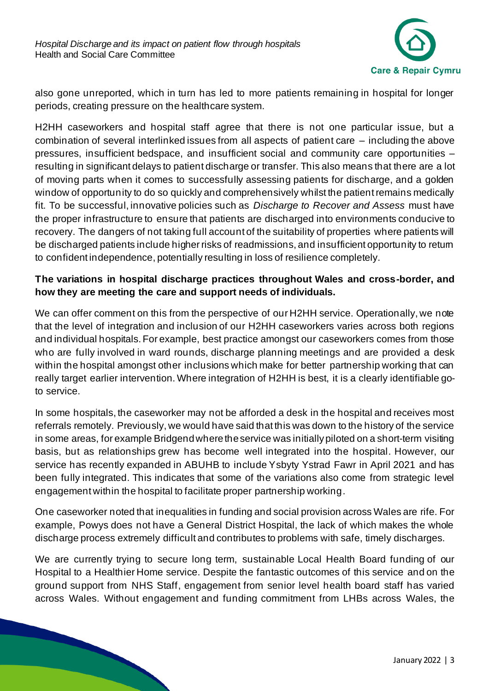

also gone unreported, which in turn has led to more patients remaining in hospital for longer periods, creating pressure on the healthcare system.

H2HH caseworkers and hospital staff agree that there is not one particular issue, but a combination of several interlinked issues from all aspects of patient care – including the above pressures, insufficient bedspace, and insufficient social and community care opportunities – resulting in significant delays to patient discharge or transfer. This also means that there are a lot of moving parts when it comes to successfully assessing patients for discharge, and a golden window of opportunity to do so quickly and comprehensively whilst the patient remains medically fit. To be successful, innovative policies such as *Discharge to Recover and Assess* must have the proper infrastructure to ensure that patients are discharged into environments conducive to recovery. The dangers of not taking full account of the suitability of properties where patients will be discharged patients include higher risks of readmissions, and insufficient opportunity to return to confident independence, potentially resulting in loss of resilience completely.

#### **The variations in hospital discharge practices throughout Wales and cross-border, and how they are meeting the care and support needs of individuals.**

We can offer comment on this from the perspective of our H2HH service. Operationally, we note that the level of integration and inclusion of our H2HH caseworkers varies across both regions and individual hospitals. For example, best practice amongst our caseworkers comes from those who are fully involved in ward rounds, discharge planning meetings and are provided a desk within the hospital amongst other inclusions which make for better partnership working that can really target earlier intervention. Where integration of H2HH is best, it is a clearly identifiable goto service.

In some hospitals, the caseworker may not be afforded a desk in the hospital and receives most referrals remotely. Previously, we would have said that this was down to the history of the service in some areas, for example Bridgend where the service was initially piloted on a short-term visiting basis, but as relationships grew has become well integrated into the hospital. However, our service has recently expanded in ABUHB to include Ysbyty Ystrad Fawr in April 2021 and has been fully integrated. This indicates that some of the variations also come from strategic level engagement within the hospital to facilitate proper partnership working.

One caseworker noted that inequalities in funding and social provision across Wales are rife. For example, Powys does not have a General District Hospital, the lack of which makes the whole discharge process extremely difficult and contributes to problems with safe, timely discharges.

We are currently trying to secure long term, sustainable Local Health Board funding of our Hospital to a Healthier Home service. Despite the fantastic outcomes of this service and on the ground support from NHS Staff, engagement from senior level health board staff has varied across Wales. Without engagement and funding commitment from LHBs across Wales, the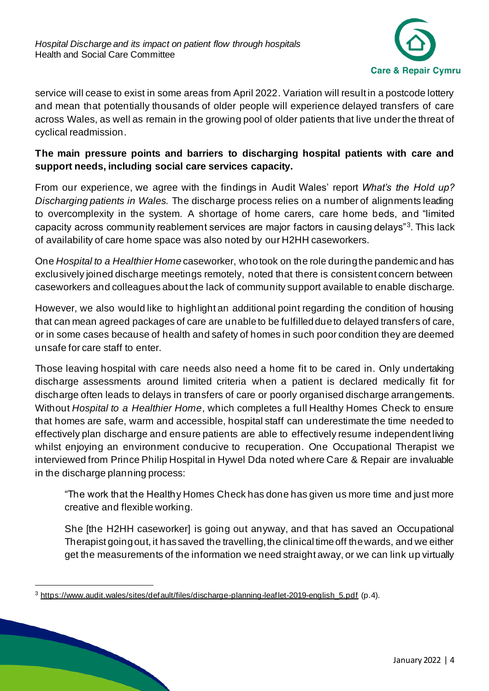

service will cease to exist in some areas from April 2022. Variation will result in a postcode lottery and mean that potentially thousands of older people will experience delayed transfers of care across Wales, as well as remain in the growing pool of older patients that live under the threat of cyclical readmission.

#### **The main pressure points and barriers to discharging hospital patients with care and support needs, including social care services capacity.**

From our experience, we agree with the findings in Audit Wales' report *What's the Hold up? Discharging patients in Wales.* The discharge process relies on a number of alignments leading to overcomplexity in the system. A shortage of home carers, care home beds, and "limited capacity across community reablement services are major factors in causing delays"<sup>3</sup>. This lack of availability of care home space was also noted by our H2HH caseworkers.

One *Hospital to a Healthier Home* caseworker, who took on the role during the pandemic and has exclusively joined discharge meetings remotely, noted that there is consistent concern between caseworkers and colleagues about the lack of community support available to enable discharge.

However, we also would like to highlight an additional point regarding the condition of housing that can mean agreed packages of care are unable to be fulfilled due to delayed transfers of care, or in some cases because of health and safety of homes in such poor condition they are deemed unsafe for care staff to enter.

Those leaving hospital with care needs also need a home fit to be cared in. Only undertaking discharge assessments around limited criteria when a patient is declared medically fit for discharge often leads to delays in transfers of care or poorly organised discharge arrangements. Without *Hospital to a Healthier Home*, which completes a full Healthy Homes Check to ensure that homes are safe, warm and accessible, hospital staff can underestimate the time needed to effectively plan discharge and ensure patients are able to effectively resume independent living whilst enjoying an environment conducive to recuperation. One Occupational Therapist we interviewed from Prince Philip Hospital in Hywel Dda noted where Care & Repair are invaluable in the discharge planning process:

"The work that the Healthy Homes Check has done has given us more time and just more creative and flexible working.

She [the H2HH caseworker] is going out anyway, and that has saved an Occupational Therapist going out, it has saved the travelling, the clinical time off the wards, and we either get the measurements of the information we need straight away, or we can link up virtually

<sup>3</sup> [https://www.audit.wales/sites/default/files/discharge-planning-leaflet-2019-english\\_5.pdf](https://www.audit.wales/sites/default/files/discharge-planning-leaflet-2019-english_5.pdf) (p.4).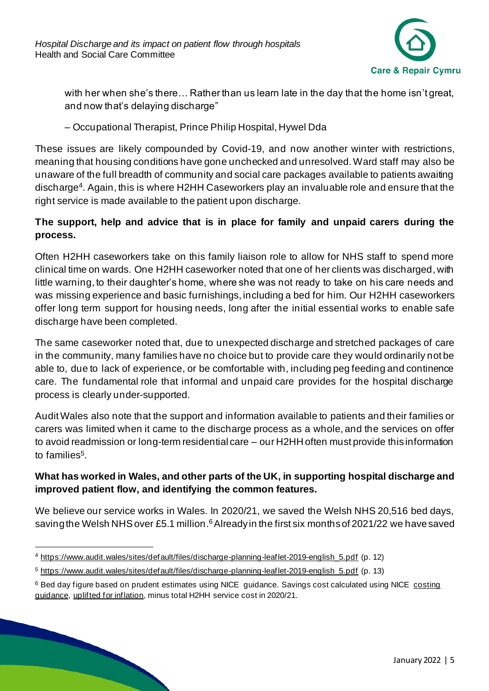

with her when she's there… Rather than us learn late in the day that the home isn't great, and now that's delaying discharge"

– Occupational Therapist, Prince Philip Hospital, Hywel Dda

These issues are likely compounded by Covid-19, and now another winter with restrictions, meaning that housing conditions have gone unchecked and unresolved. Ward staff may also be unaware of the full breadth of community and social care packages available to patients awaiting discharge<sup>4</sup>. Again, this is where H2HH Caseworkers play an invaluable role and ensure that the right service is made available to the patient upon discharge.

## **The support, help and advice that is in place for family and unpaid carers during the process.**

Often H2HH caseworkers take on this family liaison role to allow for NHS staff to spend more clinical time on wards. One H2HH caseworker noted that one of her clients was discharged, with little warning, to their daughter's home, where she was not ready to take on his care needs and was missing experience and basic furnishings, including a bed for him. Our H2HH caseworkers offer long term support for housing needs, long after the initial essential works to enable safe discharge have been completed.

The same caseworker noted that, due to unexpected discharge and stretched packages of care in the community, many families have no choice but to provide care they would ordinarily not be able to, due to lack of experience, or be comfortable with, including peg feeding and continence care. The fundamental role that informal and unpaid care provides for the hospital discharge process is clearly under-supported.

Audit Wales also note that the support and information available to patients and their families or carers was limited when it came to the discharge process as a whole, and the services on offer to avoid readmission or long-term residential care – our H2HH often must provide this information to families<sup>5</sup>.

## **What has worked in Wales, and other parts of the UK, in supporting hospital discharge and improved patient flow, and identifying the common features.**

We believe our service works in Wales. In 2020/21, we saved the Welsh NHS 20,516 bed days, saving the Welsh NHS over £5.1 million.<sup>6</sup> Already in the first six months of 2021/22 we have saved

<sup>4</sup> [https://www.audit.wales/sites/default/files/discharge-planning-leaflet-2019-english\\_5.pdf](https://www.audit.wales/sites/default/files/discharge-planning-leaflet-2019-english_5.pdf) (p. 12)

<sup>5</sup> [https://www.audit.wales/sites/default/files/discharge-planning-leaflet-2019-english\\_5.pdf](https://www.audit.wales/sites/default/files/discharge-planning-leaflet-2019-english_5.pdf) (p. 13)

<sup>&</sup>lt;sup>6</sup> Bed day figure based on prudent estimates using NICE guidance. Savings cost calculated using NICE costing [guidance,](https://www.nice.org.uk/guidance/ng27/resources/costing-statement-2187244909) [uplifted for inflation,](https://www.bankofengland.co.uk/monetary-policy/inflation/inflation-calculator) minus total H2HH service cost in 2020/21.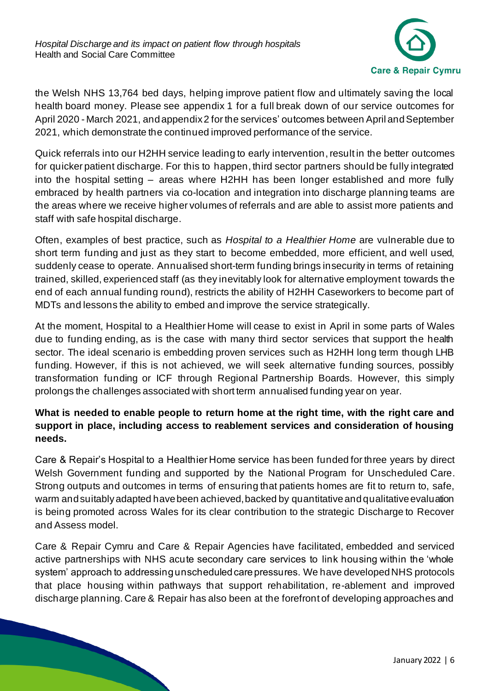

the Welsh NHS 13,764 bed days, helping improve patient flow and ultimately saving the local health board money. Please see appendix 1 for a full break down of our service outcomes for April 2020 - March 2021, and appendix 2 for the services' outcomes between April and September 2021, which demonstrate the continued improved performance of the service.

Quick referrals into our H2HH service leading to early intervention,result in the better outcomes for quicker patient discharge. For this to happen, third sector partners should be fully integrated into the hospital setting – areas where H2HH has been longer established and more fully embraced by health partners via co-location and integration into discharge planning teams are the areas where we receive higher volumes of referrals and are able to assist more patients and staff with safe hospital discharge.

Often, examples of best practice, such as *Hospital to a Healthier Home* are vulnerable due to short term funding and just as they start to become embedded, more efficient, and well used, suddenly cease to operate. Annualised short-term funding brings insecurity in terms of retaining trained, skilled, experienced staff (as they inevitably look for alternative employment towards the end of each annual funding round), restricts the ability of H2HH Caseworkers to become part of MDTs and lessons the ability to embed and improve the service strategically.

At the moment, Hospital to a Healthier Home will cease to exist in April in some parts of Wales due to funding ending, as is the case with many third sector services that support the health sector. The ideal scenario is embedding proven services such as H2HH long term though LHB funding. However, if this is not achieved, we will seek alternative funding sources, possibly transformation funding or ICF through Regional Partnership Boards. However, this simply prolongs the challenges associated with short term annualised funding year on year.

### **What is needed to enable people to return home at the right time, with the right care and support in place, including access to reablement services and consideration of housing needs.**

Care & Repair's Hospital to a Healthier Home service has been funded for three years by direct Welsh Government funding and supported by the National Program for Unscheduled Care. Strong outputs and outcomes in terms of ensuring that patients homes are fit to return to, safe, warm and suitably adapted have been achieved, backed by quantitative and qualitative evaluation is being promoted across Wales for its clear contribution to the strategic Discharge to Recover and Assess model.

Care & Repair Cymru and Care & Repair Agencies have facilitated, embedded and serviced active partnerships with NHS acute secondary care services to link housing within the 'whole system' approach to addressing unscheduled care pressures. We have developed NHS protocols that place housing within pathways that support rehabilitation, re-ablement and improved discharge planning. Care & Repair has also been at the forefront of developing approaches and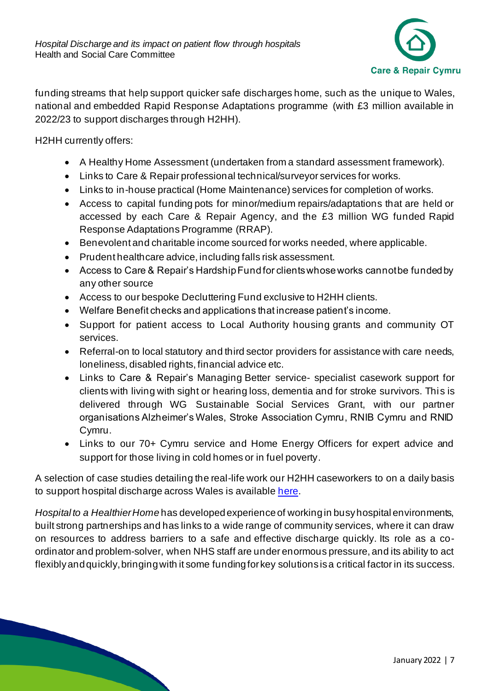

funding streams that help support quicker safe discharges home, such as the unique to Wales, national and embedded Rapid Response Adaptations programme (with £3 million available in 2022/23 to support discharges through H2HH).

H2HH currently offers:

- A Healthy Home Assessment (undertaken from a standard assessment framework).
- Links to Care & Repair professional technical/surveyor services for works.
- Links to in-house practical (Home Maintenance) services for completion of works.
- Access to capital funding pots for minor/medium repairs/adaptations that are held or accessed by each Care & Repair Agency, and the £3 million WG funded Rapid Response Adaptations Programme (RRAP).
- Benevolent and charitable income sourced for works needed, where applicable.
- Prudent healthcare advice, including falls risk assessment.
- Access to Care & Repair's Hardship Fund for clients whose works cannot be funded by any other source
- Access to our bespoke Decluttering Fund exclusive to H2HH clients.
- Welfare Benefit checks and applications that increase patient's income.
- Support for patient access to Local Authority housing grants and community OT services.
- Referral-on to local statutory and third sector providers for assistance with care needs, loneliness, disabled rights, financial advice etc.
- Links to Care & Repair's Managing Better service- specialist casework support for clients with living with sight or hearing loss, dementia and for stroke survivors. This is delivered through WG Sustainable Social Services Grant, with our partner organisations Alzheimer's Wales, Stroke Association Cymru, RNIB Cymru and RNID Cymru.
- Links to our 70+ Cymru service and Home Energy Officers for expert advice and support for those living in cold homes or in fuel poverty.

A selection of case studies detailing the real-life work our H2HH caseworkers to on a daily basis to support hospital discharge across Wales is availabl[e here.](https://www.careandrepair.org.uk/en/news/stories-hospital-healthier-home/)

*Hospital to a Healthier Home* has developed experience of working in busy hospital environments, built strong partnerships and has links to a wide range of community services, where it can draw on resources to address barriers to a safe and effective discharge quickly. Its role as a coordinator and problem-solver, when NHS staff are under enormous pressure, and its ability to act flexibly and quickly, bringing with it some funding for key solutions is a critical factor in its success.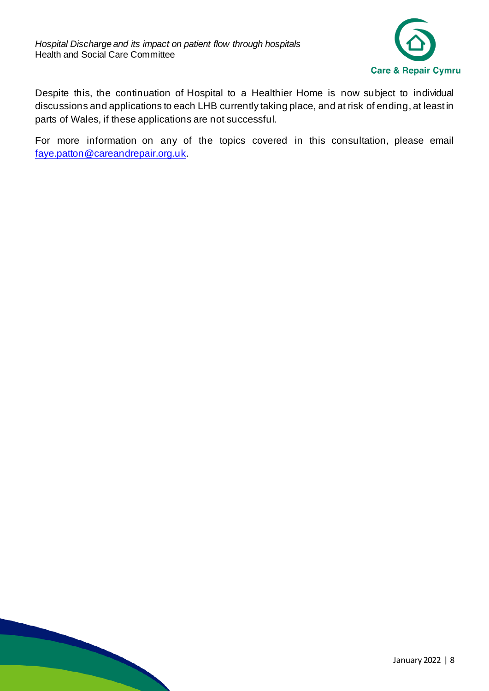

Despite this, the continuation of Hospital to a Healthier Home is now subject to individual discussions and applications to each LHB currently taking place, and at risk of ending, at least in parts of Wales, if these applications are not successful.

For more information on any of the topics covered in this consultation, please email [faye.patton@careandrepair.org.uk.](mailto:faye.patton@careandrepair.org.uk)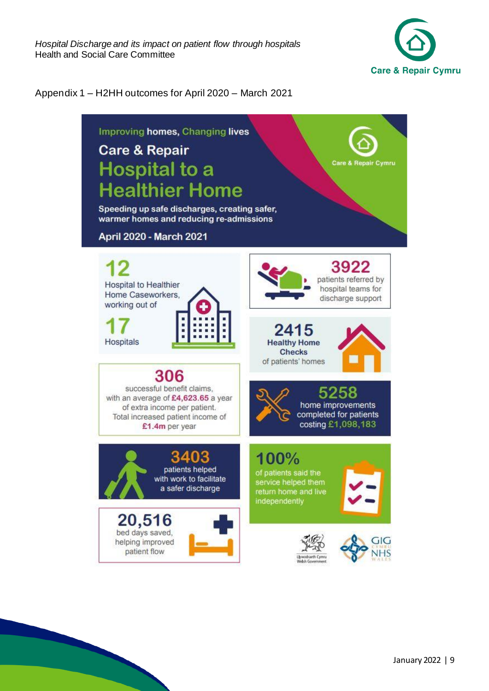

#### Appendix 1 – H2HH outcomes for April 2020 – March 2021